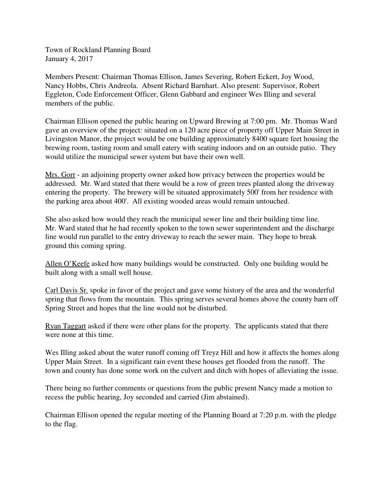Town of Rockland Planning Board January 4, 2017

Members Present: Chairman Thomas Ellison, James Severing, Robert Eckert, Joy Wood, Nancy Hobbs, Chris Andreola. Absent Richard Barnhart. Also present: Supervisor, Robert Eggleton, Code Enforcement Officer, Glenn Gabbard and engineer Wes Illing and several members of the public.

Chairman Ellison opened the public hearing on Upward Brewing at 7:00 pm. Mr. Thomas Ward gave an overview of the project: situated on a 120 acre piece of property off Upper Main Street in Livingston Manor, the project would be one building approximately 8400 square feet housing the brewing room, tasting room and small eatery with seating indoors and on an outside patio. They would utilize the municipal sewer system but have their own well.

Mrs. Gorr - an adjoining property owner asked how privacy between the properties would be addressed. Mr. Ward stated that there would be a row of green trees planted along the driveway entering the property. The brewery will be situated approximately 500' from her residence with the parking area about 400'. All existing wooded areas would remain untouched.

She also asked how would they reach the municipal sewer line and their building time line. Mr. Ward stated that he had recently spoken to the town sewer superintendent and the discharge line would run parallel to the entry driveway to reach the sewer main. They hope to break ground this coming spring.

Allen O'Keefe asked how many buildings would be constructed. Only one building would be built along with a small well house.

Carl Davis Sr. spoke in favor of the project and gave some history of the area and the wonderful spring that flows from the mountain. This spring serves several homes above the county barn off Spring Street and hopes that the line would not be disturbed.

Ryan Taggart asked if there were other plans for the property. The applicants stated that there were none at this time.

Wes Illing asked about the water runoff coming off Treyz Hill and how it affects the homes along Upper Main Street. In a significant rain event these houses get flooded from the runoff. The town and county has done some work on the culvert and ditch with hopes of alleviating the issue.

There being no further comments or questions from the public present Nancy made a motion to recess the public hearing, Joy seconded and carried (Jim abstained).

Chairman Ellison opened the regular meeting of the Planning Board at 7:20 p.m. with the pledge to the flag.